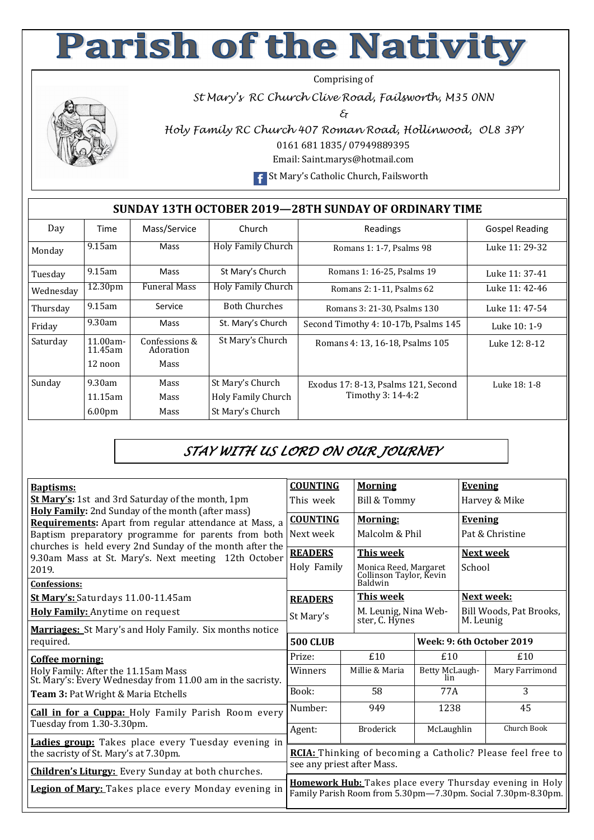## **Parish of the Nativity**

Comprising of



*St Mary's RC Church Clive Road, Failsworth, M35 0NN* 

*&* 

*Holy Family RC Church 407 Roman Road, Hollinwood, OL8 3PY* 

0161 681 1835/ 07949889395

Email: Saint.marys@hotmail.com

**F** St Mary's Catholic Church, Failsworth

## **SUNDAY 13TH OCTOBER 2019—28TH SUNDAY OF ORDINARY TIME**

| Day       | Time                   | Mass/Service               | Church                    | Readings                             | <b>Gospel Reading</b> |  |
|-----------|------------------------|----------------------------|---------------------------|--------------------------------------|-----------------------|--|
| Monday    | $9.15$ am              | Mass                       | <b>Holy Family Church</b> | Romans 1: 1-7, Psalms 98             | Luke 11: 29-32        |  |
| Tuesday   | $9.15$ am              | Mass                       | St Mary's Church          | Romans 1: 16-25, Psalms 19           | Luke 11: 37-41        |  |
| Wednesday | 12.30pm                | <b>Funeral Mass</b>        | <b>Holy Family Church</b> | Romans 2: 1-11, Psalms 62            | Luke 11: 42-46        |  |
| Thursday  | $9.15$ am              | Service                    | <b>Both Churches</b>      | Romans 3: 21-30. Psalms 130          | Luke 11: 47-54        |  |
| Friday    | 9.30am                 | Mass                       | St. Mary's Church         | Second Timothy 4: 10-17b, Psalms 145 | Luke 10: 1-9          |  |
| Saturday  | $11.00am -$<br>11.45am | Confessions &<br>Adoration | St Mary's Church          | Romans 4: 13, 16-18, Psalms 105      | Luke 12: 8-12         |  |
|           | 12 noon                | <b>Mass</b>                |                           |                                      |                       |  |
| Sunday    | 9.30am                 | Mass                       | St Mary's Church          | Exodus 17: 8-13, Psalms 121, Second  | Luke 18: 1-8          |  |
|           | $11.15$ am             | Mass                       | Holy Family Church        | Timothy 3: 14-4:2                    |                       |  |
|           | 6.00 <sub>pm</sub>     | Mass                       | St Mary's Church          |                                      |                       |  |

*STAY WITH US LORD ON OUR JOURNEY* 

| <b>Baptisms:</b>                                                                                                          | <b>COUNTING</b>                                                                                                          | <b>Morning</b>                                              |                           | <b>Evening</b>                       |                |  |
|---------------------------------------------------------------------------------------------------------------------------|--------------------------------------------------------------------------------------------------------------------------|-------------------------------------------------------------|---------------------------|--------------------------------------|----------------|--|
| <b>St Mary's:</b> 1st and 3rd Saturday of the month, 1pm                                                                  | This week                                                                                                                | Bill & Tommy                                                |                           | Harvey & Mike                        |                |  |
| <b>Holy Family:</b> 2nd Sunday of the month (after mass)                                                                  |                                                                                                                          |                                                             |                           |                                      |                |  |
| Requirements: Apart from regular attendance at Mass, a                                                                    | <b>COUNTING</b>                                                                                                          | <b>Morning:</b>                                             |                           | <b>Evening</b>                       |                |  |
| Baptism preparatory programme for parents from both Next week<br>churches is held every 2nd Sunday of the month after the |                                                                                                                          | Malcolm & Phil                                              |                           | Pat & Christine                      |                |  |
| 9.30am Mass at St. Mary's. Next meeting 12th October                                                                      | <b>READERS</b>                                                                                                           | <b>This week</b>                                            |                           | Next week                            |                |  |
| 2019.                                                                                                                     | Holy Family                                                                                                              | Monica Reed, Margaret<br>Collinson Taylor, Kevin<br>Baldwin |                           | School                               |                |  |
| <b>Confessions:</b>                                                                                                       |                                                                                                                          |                                                             |                           |                                      |                |  |
| St Mary's: Saturdays 11.00-11.45am                                                                                        | <b>READERS</b>                                                                                                           | <b>This week</b>                                            |                           | <b>Next week:</b>                    |                |  |
| <b>Holy Family:</b> Anytime on request                                                                                    | St Mary's                                                                                                                | M. Leunig, Nina Web-<br>ster, C. Hynes                      |                           | Bill Woods, Pat Brooks,<br>M. Leunig |                |  |
| Marriages: St Mary's and Holy Family. Six months notice                                                                   |                                                                                                                          |                                                             |                           |                                      |                |  |
| required.                                                                                                                 | <b>500 CLUB</b>                                                                                                          |                                                             | Week: 9: 6th October 2019 |                                      |                |  |
| Coffee morning:                                                                                                           | Prize:                                                                                                                   | £10                                                         | £10                       | £10                                  |                |  |
| Holy Family: After the 11.15am Mass<br>St. Mary's: Every Wednesday from 11.00 am in the sacristy.                         | Winners                                                                                                                  | Millie & Maria                                              | Betty McLaugh-<br>lin.    |                                      | Mary Farrimond |  |
| <b>Team 3: Pat Wright &amp; Maria Etchells</b>                                                                            | Book:                                                                                                                    | 58                                                          | 77A                       |                                      | 3              |  |
| <b>Call in for a Cuppa:</b> Holy Family Parish Room every                                                                 | Number:                                                                                                                  | 949                                                         | 1238                      |                                      | 45             |  |
| Tuesday from 1.30-3.30pm.                                                                                                 | Agent:                                                                                                                   | <b>Broderick</b>                                            | McLaughlin                |                                      | Church Book    |  |
| Ladies group: Takes place every Tuesday evening in<br>the sacristy of St. Mary's at 7.30pm.                               | RCIA: Thinking of becoming a Catholic? Please feel free to                                                               |                                                             |                           |                                      |                |  |
| <b>Children's Liturgy:</b> Every Sunday at both churches.                                                                 | see any priest after Mass.                                                                                               |                                                             |                           |                                      |                |  |
| <b>Legion of Mary:</b> Takes place every Monday evening in                                                                | Homework Hub: Takes place every Thursday evening in Holy<br>Family Parish Room from 5.30pm-7.30pm. Social 7.30pm-8.30pm. |                                                             |                           |                                      |                |  |